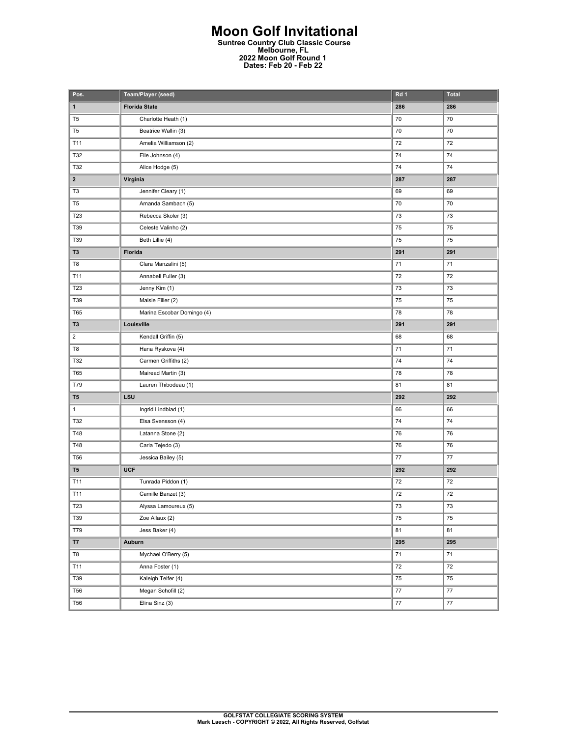## **Moon Golf Invitational Suntree Country Club Classic Course Melbourne, FL 2022 Moon Golf Round 1 Dates: Feb 20 - Feb 22**

| Pos.                    | Team/Player (seed)         | Rd 1   | <b>Total</b> |
|-------------------------|----------------------------|--------|--------------|
| $\mathbf{1}$            | <b>Florida State</b>       | 286    | 286          |
| T <sub>5</sub>          | Charlotte Heath (1)        | 70     | 70           |
| T <sub>5</sub>          | Beatrice Wallin (3)        | 70     | 70           |
| T11                     | Amelia Williamson (2)      | 72     | 72           |
| T32                     | Elle Johnson (4)           | 74     | 74           |
| T32                     | Alice Hodge (5)            | 74     | 74           |
| $\mathbf{2}$            | Virginia                   | 287    | 287          |
| T <sub>3</sub>          | Jennifer Cleary (1)        | 69     | 69           |
| T <sub>5</sub>          | Amanda Sambach (5)         | 70     | 70           |
| T23                     | Rebecca Skoler (3)         | 73     | 73           |
| T39                     | Celeste Valinho (2)        | 75     | 75           |
| T39                     | Beth Lillie (4)            | 75     | 75           |
| T <sub>3</sub>          | Florida                    | 291    | 291          |
| T8                      | Clara Manzalini (5)        | 71     | 71           |
| T11                     | Annabell Fuller (3)        | 72     | 72           |
| T23                     | Jenny Kim (1)              | 73     | 73           |
| T39                     | Maisie Filler (2)          | 75     | 75           |
| <b>T65</b>              | Marina Escobar Domingo (4) | 78     | 78           |
| T <sub>3</sub>          | Louisville                 | 291    | 291          |
| $\overline{\mathbf{c}}$ | Kendall Griffin (5)        | 68     | 68           |
| T8                      | Hana Ryskova (4)           | 71     | 71           |
| T32                     | Carmen Griffiths (2)       | 74     | 74           |
| <b>T65</b>              | Mairead Martin (3)         | 78     | 78           |
| T79                     | Lauren Thibodeau (1)       | 81     | 81           |
| T <sub>5</sub>          | LSU                        | 292    | 292          |
| $\mathbf{1}$            | Ingrid Lindblad (1)        | 66     | 66           |
| T32                     | Elsa Svensson (4)          | 74     | 74           |
| T48                     | Latanna Stone (2)          | 76     | 76           |
| T48                     | Carla Tejedo (3)           | 76     | 76           |
| <b>T56</b>              | Jessica Bailey (5)         | 77     | 77           |
| T <sub>5</sub>          | <b>UCF</b>                 | 292    | 292          |
| T11                     | Tunrada Piddon (1)         | 72     | $72\,$       |
| T11                     | Camille Banzet (3)         | 72     | 72           |
| T23                     | Alyssa Lamoureux (5)       | 73     | 73           |
| T39                     | Zoe Allaux (2)             | 75     | ${\bf 75}$   |
| T79                     | Jess Baker (4)             | 81     | 81           |
| <b>T7</b>               | Auburn                     | 295    | 295          |
| T8                      | Mychael O'Berry (5)        | $71\,$ | ${\bf 71}$   |
| T11                     | Anna Foster (1)            | 72     | 72           |
| T39                     | Kaleigh Telfer (4)         | 75     | 75           |
| <b>T56</b>              | Megan Schofill (2)         | 77     | $77\,$       |
| <b>T56</b>              | Elina Sinz (3)             | 77     | 77           |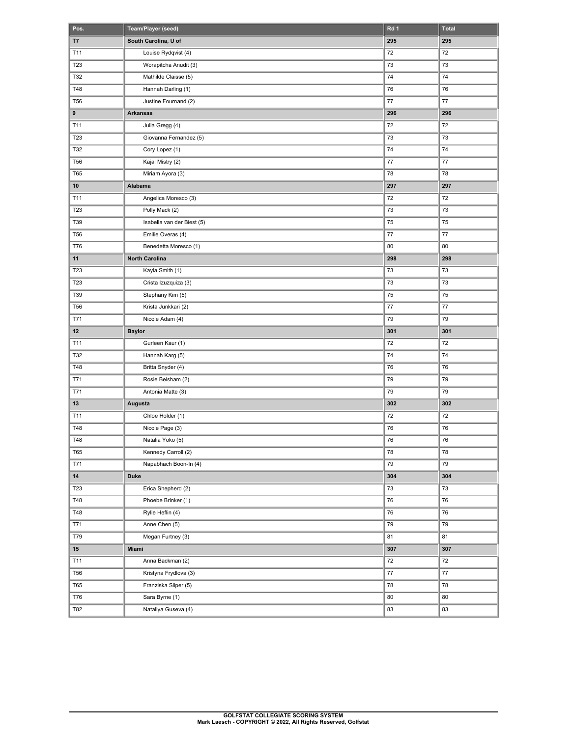| Pos.            | Team/Player (seed)         | Rd 1 | <b>Total</b> |
|-----------------|----------------------------|------|--------------|
| T7              | South Carolina, U of       | 295  | 295          |
| T11             | Louise Rydqvist (4)        | 72   | 72           |
| T23             | Worapitcha Anudit (3)      | 73   | 73           |
| T32             | Mathilde Claisse (5)       | 74   | 74           |
| T48             | Hannah Darling (1)         | 76   | 76           |
| <b>T56</b>      | Justine Fournand (2)       | 77   | 77           |
| $\pmb{9}$       | <b>Arkansas</b>            | 296  | 296          |
| T11             | Julia Gregg (4)            | 72   | 72           |
| T23             | Giovanna Fernandez (5)     | 73   | 73           |
| T32             | Cory Lopez (1)             | 74   | 74           |
| T <sub>56</sub> | Kajal Mistry (2)           | 77   | 77           |
| <b>T65</b>      | Miriam Ayora (3)           | 78   | 78           |
| 10              | Alabama                    | 297  | 297          |
| T11             | Angelica Moresco (3)       | 72   | 72           |
| T23             | Polly Mack (2)             | 73   | 73           |
| T39             | Isabella van der Biest (5) | 75   | 75           |
| T <sub>56</sub> | Emilie Overas (4)          | 77   | 77           |
| T76             | Benedetta Moresco (1)      | 80   | 80           |
| 11              | <b>North Carolina</b>      | 298  | 298          |
| T23             | Kayla Smith (1)            | 73   | 73           |
| T23             | Crista Izuzquiza (3)       | 73   | 73           |
| T39             | Stephany Kim (5)           | 75   | 75           |
| T <sub>56</sub> | Krista Junkkari (2)        | 77   | 77           |
| T71             | Nicole Adam (4)            | 79   | 79           |
| 12              | <b>Baylor</b>              | 301  | 301          |
| T11             | Gurleen Kaur (1)           | 72   | 72           |
| T32             | Hannah Karg (5)            | 74   | 74           |
| T48             | Britta Snyder (4)          | 76   | 76           |
| T71             | Rosie Belsham (2)          | 79   | 79           |
| T71             | Antonia Matte (3)          | 79   | 79           |
| 13              | Augusta                    | 302  | 302          |
| T11             | Chloe Holder (1)           | 72   | 72           |
| T48             | Nicole Page (3)            | 76   | 76           |
| T48             | Natalia Yoko (5)           | 76   | 76           |
| T65             | Kennedy Carroll (2)        | 78   | 78           |
| T71             | Napabhach Boon-In (4)      | 79   | 79           |
| $14\,$          | Duke                       | 304  | 304          |
| T23             | Erica Shepherd (2)         | 73   | 73           |
| T48             | Phoebe Brinker (1)         | 76   | 76           |
| T48             | Rylie Heflin (4)           | 76   | 76           |
| T71             | Anne Chen (5)              | 79   | 79           |
| T79             | Megan Furtney (3)          | 81   | 81           |
| ${\bf 15}$      | Miami                      | 307  | 307          |
| T11             | Anna Backman (2)           | 72   | 72           |
| <b>T56</b>      | Kristyna Frydlova (3)      | 77   | 77           |
| <b>T65</b>      | Franziska Sliper (5)       | 78   | 78           |
| T76             | Sara Byrne (1)             | 80   | 80           |
| T82             | Nataliya Guseva (4)        | 83   | 83           |